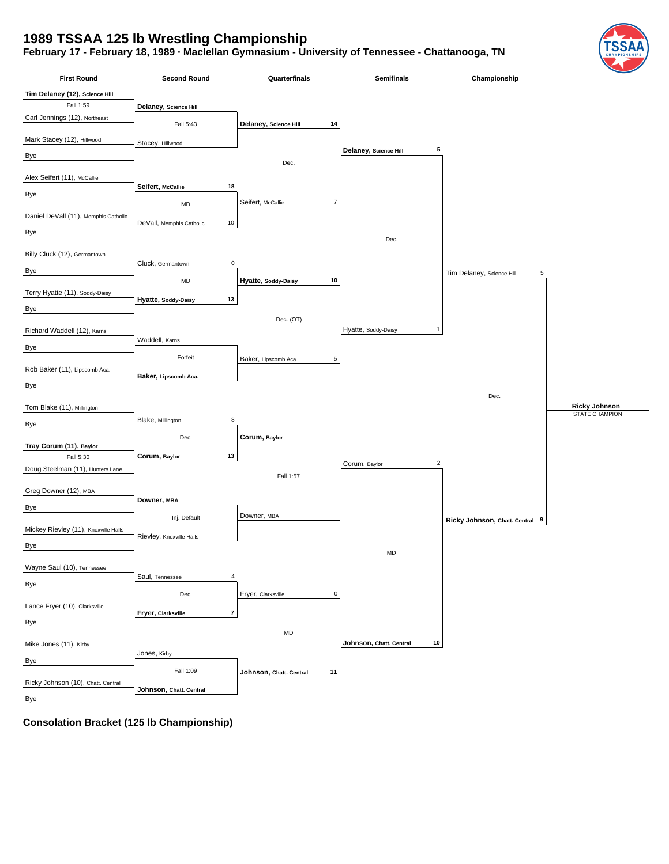## **1989 TSSAA 125 lb Wrestling Championship**

## **February 17 - February 18, 1989 · Maclellan Gymnasium - University of Tennessee - Chattanooga, TN**

| <b>First Round</b>                   | <b>Second Round</b>               | Quarterfinals                       | <b>Semifinals</b>                   | Championship                    |                       |
|--------------------------------------|-----------------------------------|-------------------------------------|-------------------------------------|---------------------------------|-----------------------|
| Tim Delaney (12), Science Hill       |                                   |                                     |                                     |                                 |                       |
| Fall 1:59                            | Delaney, Science Hill             |                                     |                                     |                                 |                       |
| Carl Jennings (12), Northeast        | Fall 5:43                         | 14<br>Delaney, Science Hill         |                                     |                                 |                       |
| Mark Stacey (12), Hillwood           |                                   |                                     |                                     |                                 |                       |
|                                      | Stacey, Hillwood                  |                                     | Delaney, Science Hill<br>5          |                                 |                       |
| Bye                                  |                                   | Dec.                                |                                     |                                 |                       |
| Alex Seifert (11), McCallie          |                                   |                                     |                                     |                                 |                       |
| Bye                                  | 18<br>Seifert, McCallie           |                                     |                                     |                                 |                       |
|                                      | MD                                | Seifert, McCallie<br>$\overline{7}$ |                                     |                                 |                       |
| Daniel DeVall (11), Memphis Catholic | 10<br>DeVall, Memphis Catholic    |                                     |                                     |                                 |                       |
| Bye                                  |                                   |                                     | Dec.                                |                                 |                       |
|                                      |                                   |                                     |                                     |                                 |                       |
| Billy Cluck (12), Germantown         | $\mathbf 0$<br>Cluck, Germantown  |                                     |                                     |                                 |                       |
| Bye                                  | $\mathsf{MD}$                     | 10<br>Hyatte, Soddy-Daisy           |                                     | Tim Delaney, Science Hill<br>5  |                       |
| Terry Hyatte (11), Soddy-Daisy       |                                   |                                     |                                     |                                 |                       |
| Bye                                  | 13<br>Hyatte, Soddy-Daisy         |                                     |                                     |                                 |                       |
|                                      |                                   | Dec. (OT)                           |                                     |                                 |                       |
| Richard Waddell (12), Karns          |                                   |                                     | Hyatte, Soddy-Daisy<br>$\mathbf{1}$ |                                 |                       |
| Bye                                  | Waddell, Karns                    |                                     |                                     |                                 |                       |
|                                      | Forfeit                           | 5<br>Baker, Lipscomb Aca.           |                                     |                                 |                       |
| Rob Baker (11), Lipscomb Aca.        | Baker, Lipscomb Aca.              |                                     |                                     |                                 |                       |
| Bye                                  |                                   |                                     |                                     |                                 |                       |
|                                      |                                   |                                     |                                     | Dec.                            | <b>Ricky Johnson</b>  |
| Tom Blake (11), Millington           | Blake, Millington<br>8            |                                     |                                     |                                 | <b>STATE CHAMPION</b> |
| Bye                                  |                                   |                                     |                                     |                                 |                       |
| Tray Corum (11), Baylor              | Dec.                              | Corum, Baylor                       |                                     |                                 |                       |
| Fall 5:30                            | 13<br>Corum, Baylor               |                                     | $\sqrt{2}$                          |                                 |                       |
| Doug Steelman (11), Hunters Lane     |                                   | Fall 1:57                           | Corum, Baylor                       |                                 |                       |
|                                      |                                   |                                     |                                     |                                 |                       |
| Greg Downer (12), MBA                | Downer, MBA                       |                                     |                                     |                                 |                       |
| Bye                                  | Inj. Default                      | Downer, MBA                         |                                     |                                 |                       |
| Mickey Rievley (11), Knoxville Halls |                                   |                                     |                                     | Ricky Johnson, Chatt. Central 9 |                       |
| Bye                                  | Rievley, Knoxville Halls          |                                     |                                     |                                 |                       |
|                                      |                                   |                                     | MD                                  |                                 |                       |
| Wayne Saul (10), Tennessee           |                                   |                                     |                                     |                                 |                       |
| Bye                                  | Saul, Tennessee<br>$\overline{4}$ |                                     |                                     |                                 |                       |
|                                      | Dec.                              | $\mathsf 0$<br>Fryer, Clarksville   |                                     |                                 |                       |
| Lance Fryer (10), Clarksville        | Fryer, Clarksville<br>7           |                                     |                                     |                                 |                       |
| Bye                                  |                                   |                                     |                                     |                                 |                       |
| Mike Jones (11), Kirby               |                                   | MD                                  | 10<br>Johnson, Chatt. Central       |                                 |                       |
|                                      | Jones, Kirby                      |                                     |                                     |                                 |                       |
| Bye                                  | Fall 1:09                         | 11<br>Johnson, Chatt. Central       |                                     |                                 |                       |
| Ricky Johnson (10), Chatt. Central   |                                   |                                     |                                     |                                 |                       |
| Bye                                  | Johnson, Chatt. Central           |                                     |                                     |                                 |                       |
|                                      |                                   |                                     |                                     |                                 |                       |

**Consolation Bracket (125 lb Championship)**